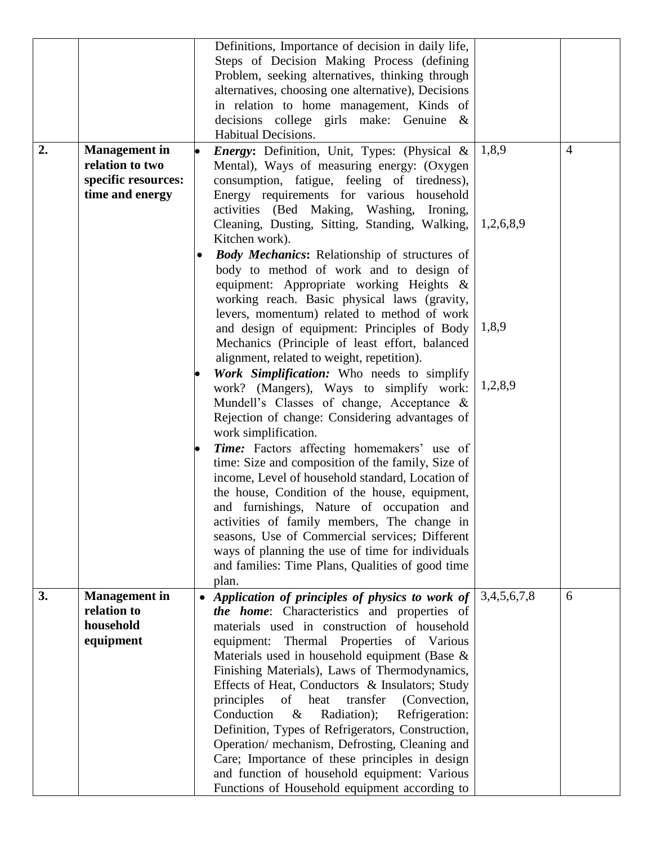| Problem, seeking alternatives, thinking through<br>alternatives, choosing one alternative), Decisions<br>in relation to home management, Kinds of<br>decisions college girls make: Genuine &<br>Habitual Decisions.<br>2.<br>1,8,9<br><b>Management</b> in<br>$\overline{4}$<br><i>Energy:</i> Definition, Unit, Types: (Physical &<br>$\bullet$<br>relation to two<br>Mental), Ways of measuring energy: (Oxygen<br>specific resources:<br>consumption, fatigue, feeling of tiredness),<br>time and energy<br>Energy requirements for various household<br>activities (Bed Making, Washing, Ironing,<br>Cleaning, Dusting, Sitting, Standing, Walking,<br>1,2,6,8,9<br>Kitchen work). |  | Steps of Decision Making Process (defining |  |
|----------------------------------------------------------------------------------------------------------------------------------------------------------------------------------------------------------------------------------------------------------------------------------------------------------------------------------------------------------------------------------------------------------------------------------------------------------------------------------------------------------------------------------------------------------------------------------------------------------------------------------------------------------------------------------------|--|--------------------------------------------|--|
|                                                                                                                                                                                                                                                                                                                                                                                                                                                                                                                                                                                                                                                                                        |  |                                            |  |
|                                                                                                                                                                                                                                                                                                                                                                                                                                                                                                                                                                                                                                                                                        |  |                                            |  |
|                                                                                                                                                                                                                                                                                                                                                                                                                                                                                                                                                                                                                                                                                        |  |                                            |  |
|                                                                                                                                                                                                                                                                                                                                                                                                                                                                                                                                                                                                                                                                                        |  |                                            |  |
|                                                                                                                                                                                                                                                                                                                                                                                                                                                                                                                                                                                                                                                                                        |  |                                            |  |
|                                                                                                                                                                                                                                                                                                                                                                                                                                                                                                                                                                                                                                                                                        |  |                                            |  |
|                                                                                                                                                                                                                                                                                                                                                                                                                                                                                                                                                                                                                                                                                        |  |                                            |  |
|                                                                                                                                                                                                                                                                                                                                                                                                                                                                                                                                                                                                                                                                                        |  |                                            |  |
|                                                                                                                                                                                                                                                                                                                                                                                                                                                                                                                                                                                                                                                                                        |  |                                            |  |
|                                                                                                                                                                                                                                                                                                                                                                                                                                                                                                                                                                                                                                                                                        |  |                                            |  |
|                                                                                                                                                                                                                                                                                                                                                                                                                                                                                                                                                                                                                                                                                        |  |                                            |  |
| <b>Body Mechanics:</b> Relationship of structures of<br>body to method of work and to design of                                                                                                                                                                                                                                                                                                                                                                                                                                                                                                                                                                                        |  |                                            |  |
| equipment: Appropriate working Heights &                                                                                                                                                                                                                                                                                                                                                                                                                                                                                                                                                                                                                                               |  |                                            |  |
| working reach. Basic physical laws (gravity,                                                                                                                                                                                                                                                                                                                                                                                                                                                                                                                                                                                                                                           |  |                                            |  |
| levers, momentum) related to method of work                                                                                                                                                                                                                                                                                                                                                                                                                                                                                                                                                                                                                                            |  |                                            |  |
| 1,8,9<br>and design of equipment: Principles of Body                                                                                                                                                                                                                                                                                                                                                                                                                                                                                                                                                                                                                                   |  |                                            |  |
| Mechanics (Principle of least effort, balanced                                                                                                                                                                                                                                                                                                                                                                                                                                                                                                                                                                                                                                         |  |                                            |  |
| alignment, related to weight, repetition).                                                                                                                                                                                                                                                                                                                                                                                                                                                                                                                                                                                                                                             |  |                                            |  |
| Work Simplification: Who needs to simplify<br>1,2,8,9<br>work? (Mangers), Ways to simplify work:                                                                                                                                                                                                                                                                                                                                                                                                                                                                                                                                                                                       |  |                                            |  |
| Mundell's Classes of change, Acceptance &                                                                                                                                                                                                                                                                                                                                                                                                                                                                                                                                                                                                                                              |  |                                            |  |
| Rejection of change: Considering advantages of                                                                                                                                                                                                                                                                                                                                                                                                                                                                                                                                                                                                                                         |  |                                            |  |
| work simplification.                                                                                                                                                                                                                                                                                                                                                                                                                                                                                                                                                                                                                                                                   |  |                                            |  |
| <b>Time:</b> Factors affecting homemakers' use of<br>lo                                                                                                                                                                                                                                                                                                                                                                                                                                                                                                                                                                                                                                |  |                                            |  |
| time: Size and composition of the family, Size of                                                                                                                                                                                                                                                                                                                                                                                                                                                                                                                                                                                                                                      |  |                                            |  |
| income, Level of household standard, Location of                                                                                                                                                                                                                                                                                                                                                                                                                                                                                                                                                                                                                                       |  |                                            |  |
| the house, Condition of the house, equipment,                                                                                                                                                                                                                                                                                                                                                                                                                                                                                                                                                                                                                                          |  |                                            |  |
| and furnishings, Nature of occupation and<br>activities of family members, The change in                                                                                                                                                                                                                                                                                                                                                                                                                                                                                                                                                                                               |  |                                            |  |
| seasons, Use of Commercial services; Different                                                                                                                                                                                                                                                                                                                                                                                                                                                                                                                                                                                                                                         |  |                                            |  |
| ways of planning the use of time for individuals                                                                                                                                                                                                                                                                                                                                                                                                                                                                                                                                                                                                                                       |  |                                            |  |
| and families: Time Plans, Qualities of good time                                                                                                                                                                                                                                                                                                                                                                                                                                                                                                                                                                                                                                       |  |                                            |  |
| plan.                                                                                                                                                                                                                                                                                                                                                                                                                                                                                                                                                                                                                                                                                  |  |                                            |  |
| 3.<br><b>Management</b> in<br>3,4,5,6,7,8<br>Application of principles of physics to work of<br>6<br>$\bullet$                                                                                                                                                                                                                                                                                                                                                                                                                                                                                                                                                                         |  |                                            |  |
| relation to<br>the home: Characteristics and properties of                                                                                                                                                                                                                                                                                                                                                                                                                                                                                                                                                                                                                             |  |                                            |  |
| household<br>materials used in construction of household<br>equipment<br>equipment: Thermal Properties of Various                                                                                                                                                                                                                                                                                                                                                                                                                                                                                                                                                                      |  |                                            |  |
| Materials used in household equipment (Base &                                                                                                                                                                                                                                                                                                                                                                                                                                                                                                                                                                                                                                          |  |                                            |  |
| Finishing Materials), Laws of Thermodynamics,                                                                                                                                                                                                                                                                                                                                                                                                                                                                                                                                                                                                                                          |  |                                            |  |
| Effects of Heat, Conductors & Insulators; Study                                                                                                                                                                                                                                                                                                                                                                                                                                                                                                                                                                                                                                        |  |                                            |  |
| (Convection,<br>principles<br>of<br>heat<br>transfer                                                                                                                                                                                                                                                                                                                                                                                                                                                                                                                                                                                                                                   |  |                                            |  |
| Conduction<br>Radiation);<br>Refrigeration:<br>$\&$                                                                                                                                                                                                                                                                                                                                                                                                                                                                                                                                                                                                                                    |  |                                            |  |
| Definition, Types of Refrigerators, Construction,                                                                                                                                                                                                                                                                                                                                                                                                                                                                                                                                                                                                                                      |  |                                            |  |
| Operation/ mechanism, Defrosting, Cleaning and                                                                                                                                                                                                                                                                                                                                                                                                                                                                                                                                                                                                                                         |  |                                            |  |
| Care; Importance of these principles in design                                                                                                                                                                                                                                                                                                                                                                                                                                                                                                                                                                                                                                         |  |                                            |  |
| and function of household equipment: Various<br>Functions of Household equipment according to                                                                                                                                                                                                                                                                                                                                                                                                                                                                                                                                                                                          |  |                                            |  |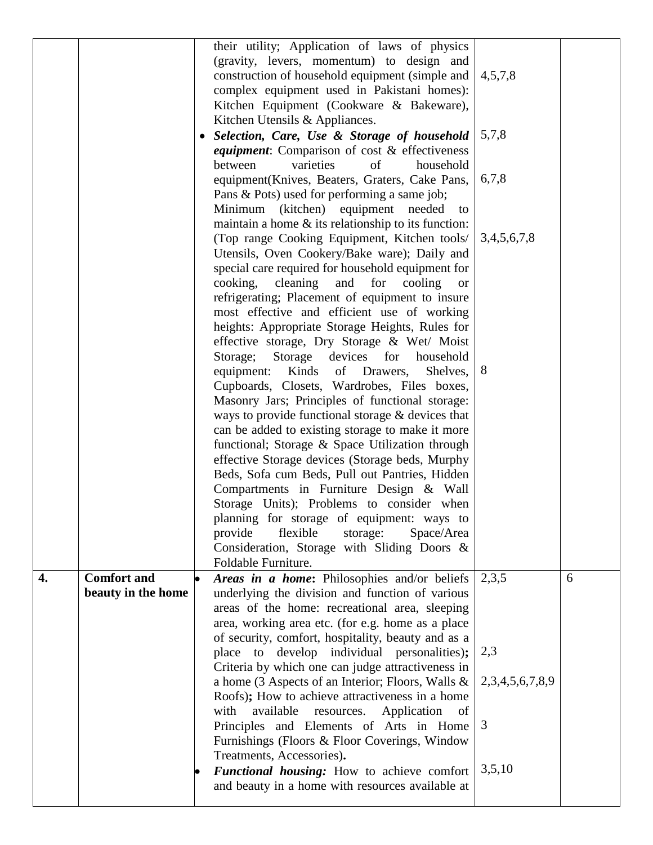|    |                                          | their utility; Application of laws of physics<br>(gravity, levers, momentum) to design and<br>construction of household equipment (simple and<br>complex equipment used in Pakistani homes):<br>Kitchen Equipment (Cookware & Bakeware),<br>Kitchen Utensils & Appliances.<br>Selection, Care, Use & Storage of household<br>٠<br>equipment: Comparison of cost & effectiveness<br>varieties<br>of<br>household<br>between<br>equipment(Knives, Beaters, Graters, Cake Pans,<br>Pans & Pots) used for performing a same job;<br>Minimum (kitchen) equipment needed<br>to<br>maintain a home $\&$ its relationship to its function:<br>(Top range Cooking Equipment, Kitchen tools/<br>Utensils, Oven Cookery/Bake ware); Daily and<br>special care required for household equipment for<br>cooking,<br>cleaning<br>for<br>and<br>cooling<br><b>or</b><br>refrigerating; Placement of equipment to insure<br>most effective and efficient use of working<br>heights: Appropriate Storage Heights, Rules for<br>effective storage, Dry Storage & Wet/ Moist<br>Storage;<br>Storage devices<br>for<br>household<br>equipment:<br>Kinds<br>of<br>Drawers,<br>Shelves,<br>Cupboards, Closets, Wardrobes, Files boxes,<br>Masonry Jars; Principles of functional storage:<br>ways to provide functional storage & devices that<br>can be added to existing storage to make it more<br>functional; Storage & Space Utilization through<br>effective Storage devices (Storage beds, Murphy<br>Beds, Sofa cum Beds, Pull out Pantries, Hidden<br>Compartments in Furniture Design & Wall<br>Storage Units); Problems to consider when<br>planning for storage of equipment: ways to<br>flexible<br>provide<br>storage:<br>Space/Area<br>Consideration, Storage with Sliding Doors &<br>Foldable Furniture. | 4,5,7,8<br>5,7,8<br>6,7,8<br>3,4,5,6,7,8<br>8 |   |
|----|------------------------------------------|---------------------------------------------------------------------------------------------------------------------------------------------------------------------------------------------------------------------------------------------------------------------------------------------------------------------------------------------------------------------------------------------------------------------------------------------------------------------------------------------------------------------------------------------------------------------------------------------------------------------------------------------------------------------------------------------------------------------------------------------------------------------------------------------------------------------------------------------------------------------------------------------------------------------------------------------------------------------------------------------------------------------------------------------------------------------------------------------------------------------------------------------------------------------------------------------------------------------------------------------------------------------------------------------------------------------------------------------------------------------------------------------------------------------------------------------------------------------------------------------------------------------------------------------------------------------------------------------------------------------------------------------------------------------------------------------------------------------------------------------------------------------------------------------------|-----------------------------------------------|---|
| 4. | <b>Comfort and</b><br>beauty in the home | Areas in a home: Philosophies and/or beliefs<br>underlying the division and function of various<br>areas of the home: recreational area, sleeping<br>area, working area etc. (for e.g. home as a place<br>of security, comfort, hospitality, beauty and as a<br>place to develop individual personalities);                                                                                                                                                                                                                                                                                                                                                                                                                                                                                                                                                                                                                                                                                                                                                                                                                                                                                                                                                                                                                                                                                                                                                                                                                                                                                                                                                                                                                                                                                       | 2,3,5<br>2,3                                  | 6 |
|    |                                          | Criteria by which one can judge attractiveness in<br>a home (3 Aspects of an Interior; Floors, Walls &<br>Roofs); How to achieve attractiveness in a home<br>available<br>with<br>resources.<br>Application<br>of<br>Principles and Elements of Arts in Home<br>Furnishings (Floors & Floor Coverings, Window<br>Treatments, Accessories).<br>Functional housing: How to achieve comfort<br>and beauty in a home with resources available at                                                                                                                                                                                                                                                                                                                                                                                                                                                                                                                                                                                                                                                                                                                                                                                                                                                                                                                                                                                                                                                                                                                                                                                                                                                                                                                                                      | 2,3,4,5,6,7,8,9<br>3<br>3,5,10                |   |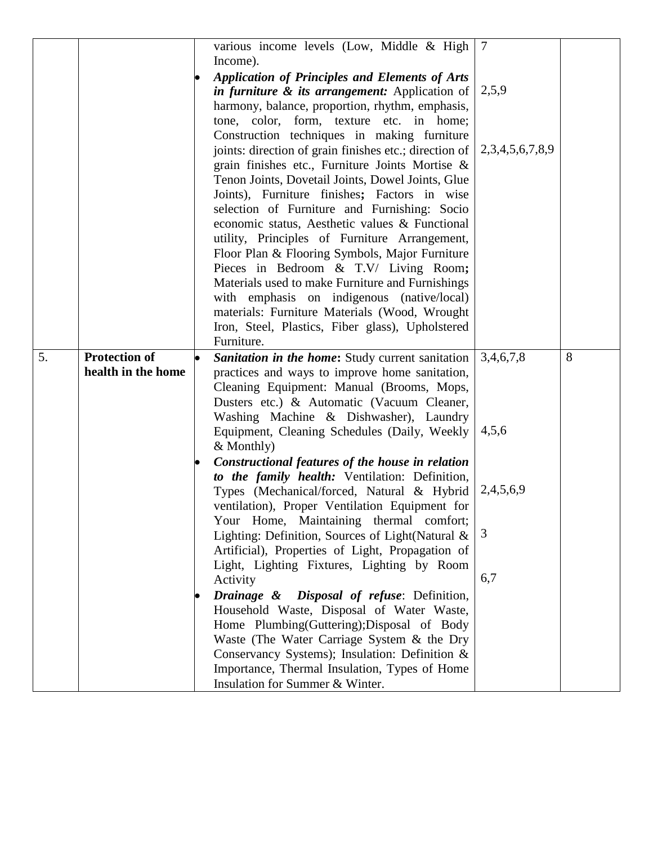|    |                                            | various income levels (Low, Middle & High<br>Income).<br><b>Application of Principles and Elements of Arts</b><br>in furniture & its arrangement: Application of<br>harmony, balance, proportion, rhythm, emphasis,<br>tone, color, form, texture etc. in home;<br>Construction techniques in making furniture<br>joints: direction of grain finishes etc.; direction of<br>grain finishes etc., Furniture Joints Mortise &<br>Tenon Joints, Dovetail Joints, Dowel Joints, Glue<br>Joints), Furniture finishes; Factors in wise<br>selection of Furniture and Furnishing: Socio<br>economic status, Aesthetic values & Functional<br>utility, Principles of Furniture Arrangement,<br>Floor Plan & Flooring Symbols, Major Furniture<br>Pieces in Bedroom & T.V/ Living Room;<br>Materials used to make Furniture and Furnishings<br>with emphasis on indigenous (native/local)<br>materials: Furniture Materials (Wood, Wrought<br>Iron, Steel, Plastics, Fiber glass), Upholstered<br>Furniture.                                                   | $\overline{7}$<br>2,5,9<br>2,3,4,5,6,7,8,9  |   |
|----|--------------------------------------------|-------------------------------------------------------------------------------------------------------------------------------------------------------------------------------------------------------------------------------------------------------------------------------------------------------------------------------------------------------------------------------------------------------------------------------------------------------------------------------------------------------------------------------------------------------------------------------------------------------------------------------------------------------------------------------------------------------------------------------------------------------------------------------------------------------------------------------------------------------------------------------------------------------------------------------------------------------------------------------------------------------------------------------------------------------|---------------------------------------------|---|
| 5. | <b>Protection of</b><br>health in the home | Sanitation in the home: Study current sanitation<br>practices and ways to improve home sanitation,<br>Cleaning Equipment: Manual (Brooms, Mops,<br>Dusters etc.) & Automatic (Vacuum Cleaner,<br>Washing Machine & Dishwasher), Laundry<br>Equipment, Cleaning Schedules (Daily, Weekly<br>& Monthly)<br>Constructional features of the house in relation<br>to the family health: Ventilation: Definition,<br>Types (Mechanical/forced, Natural & Hybrid<br>ventilation), Proper Ventilation Equipment for<br>Your Home, Maintaining thermal comfort;<br>Lighting: Definition, Sources of Light(Natural &<br>Artificial), Properties of Light, Propagation of<br>Light, Lighting Fixtures, Lighting by Room<br>Activity<br>Drainage & Disposal of refuse: Definition,<br>Household Waste, Disposal of Water Waste,<br>Home Plumbing(Guttering); Disposal of Body<br>Waste (The Water Carriage System & the Dry<br>Conservancy Systems); Insulation: Definition &<br>Importance, Thermal Insulation, Types of Home<br>Insulation for Summer & Winter. | 3,4,6,7,8<br>4,5,6<br>2,4,5,6,9<br>3<br>6,7 | 8 |